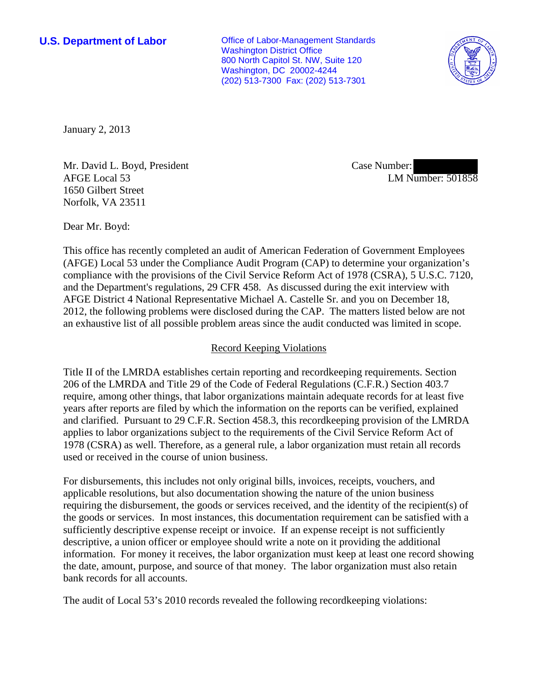**U.S. Department of Labor Conservative Conservative Conservative Conservative Conservative Conservative Conservative Conservative Conservative Conservative Conservative Conservative Conservative Conservative Conservative** Washington District Office 800 North Capitol St. NW, Suite 120 Washington, DC 20002-4244 (202) 513-7300 Fax: (202) 513-7301



January 2, 2013

Mr. David L. Boyd, President AFGE Local 53 1650 Gilbert Street Norfolk, VA 23511

Case Number: LM Number: 501858

Dear Mr. Boyd:

This office has recently completed an audit of American Federation of Government Employees (AFGE) Local 53 under the Compliance Audit Program (CAP) to determine your organization's compliance with the provisions of the Civil Service Reform Act of 1978 (CSRA), 5 U.S.C. 7120, and the Department's regulations, 29 CFR 458. As discussed during the exit interview with AFGE District 4 National Representative Michael A. Castelle Sr. and you on December 18, 2012, the following problems were disclosed during the CAP. The matters listed below are not an exhaustive list of all possible problem areas since the audit conducted was limited in scope.

## Record Keeping Violations

Title II of the LMRDA establishes certain reporting and recordkeeping requirements. Section 206 of the LMRDA and Title 29 of the Code of Federal Regulations (C.F.R.) Section 403.7 require, among other things, that labor organizations maintain adequate records for at least five years after reports are filed by which the information on the reports can be verified, explained and clarified. Pursuant to 29 C.F.R. Section 458.3, this recordkeeping provision of the LMRDA applies to labor organizations subject to the requirements of the Civil Service Reform Act of 1978 (CSRA) as well. Therefore, as a general rule, a labor organization must retain all records used or received in the course of union business.

For disbursements, this includes not only original bills, invoices, receipts, vouchers, and applicable resolutions, but also documentation showing the nature of the union business requiring the disbursement, the goods or services received, and the identity of the recipient(s) of the goods or services. In most instances, this documentation requirement can be satisfied with a sufficiently descriptive expense receipt or invoice. If an expense receipt is not sufficiently descriptive, a union officer or employee should write a note on it providing the additional information. For money it receives, the labor organization must keep at least one record showing the date, amount, purpose, and source of that money. The labor organization must also retain bank records for all accounts.

The audit of Local 53's 2010 records revealed the following recordkeeping violations: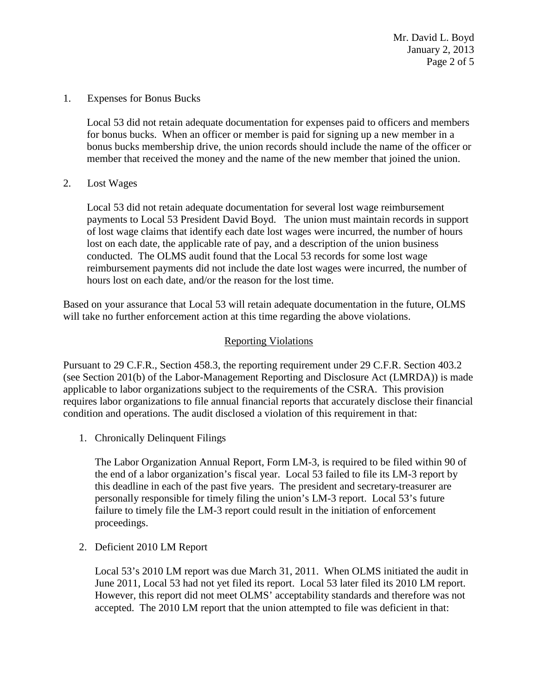Mr. David L. Boyd January 2, 2013 Page 2 of 5

1. Expenses for Bonus Bucks

Local 53 did not retain adequate documentation for expenses paid to officers and members for bonus bucks. When an officer or member is paid for signing up a new member in a bonus bucks membership drive, the union records should include the name of the officer or member that received the money and the name of the new member that joined the union.

2. Lost Wages

Local 53 did not retain adequate documentation for several lost wage reimbursement payments to Local 53 President David Boyd. The union must maintain records in support of lost wage claims that identify each date lost wages were incurred, the number of hours lost on each date, the applicable rate of pay, and a description of the union business conducted. The OLMS audit found that the Local 53 records for some lost wage reimbursement payments did not include the date lost wages were incurred, the number of hours lost on each date, and/or the reason for the lost time.

Based on your assurance that Local 53 will retain adequate documentation in the future, OLMS will take no further enforcement action at this time regarding the above violations.

## Reporting Violations

Pursuant to 29 C.F.R., Section 458.3, the reporting requirement under 29 C.F.R. Section 403.2 (see Section 201(b) of the Labor-Management Reporting and Disclosure Act (LMRDA)) is made applicable to labor organizations subject to the requirements of the CSRA. This provision requires labor organizations to file annual financial reports that accurately disclose their financial condition and operations. The audit disclosed a violation of this requirement in that:

1. Chronically Delinquent Filings

The Labor Organization Annual Report, Form LM-3, is required to be filed within 90 of the end of a labor organization's fiscal year. Local 53 failed to file its LM-3 report by this deadline in each of the past five years. The president and secretary-treasurer are personally responsible for timely filing the union's LM-3 report. Local 53's future failure to timely file the LM-3 report could result in the initiation of enforcement proceedings.

2. Deficient 2010 LM Report

Local 53's 2010 LM report was due March 31, 2011. When OLMS initiated the audit in June 2011, Local 53 had not yet filed its report. Local 53 later filed its 2010 LM report. However, this report did not meet OLMS' acceptability standards and therefore was not accepted. The 2010 LM report that the union attempted to file was deficient in that: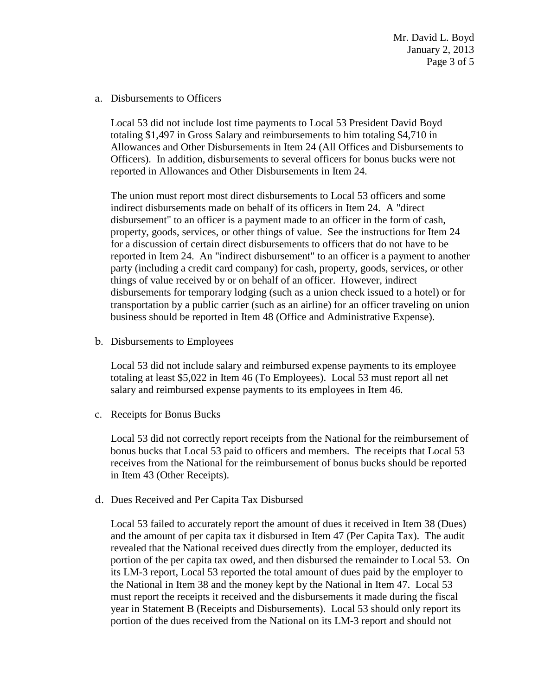Mr. David L. Boyd January 2, 2013 Page 3 of 5

## a. Disbursements to Officers

Local 53 did not include lost time payments to Local 53 President David Boyd totaling \$1,497 in Gross Salary and reimbursements to him totaling \$4,710 in Allowances and Other Disbursements in Item 24 (All Offices and Disbursements to Officers). In addition, disbursements to several officers for bonus bucks were not reported in Allowances and Other Disbursements in Item 24.

The union must report most direct disbursements to Local 53 officers and some indirect disbursements made on behalf of its officers in Item 24. A "direct disbursement" to an officer is a payment made to an officer in the form of cash, property, goods, services, or other things of value. See the instructions for Item 24 for a discussion of certain direct disbursements to officers that do not have to be reported in Item 24. An "indirect disbursement" to an officer is a payment to another party (including a credit card company) for cash, property, goods, services, or other things of value received by or on behalf of an officer. However, indirect disbursements for temporary lodging (such as a union check issued to a hotel) or for transportation by a public carrier (such as an airline) for an officer traveling on union business should be reported in Item 48 (Office and Administrative Expense).

b. Disbursements to Employees

Local 53 did not include salary and reimbursed expense payments to its employee totaling at least \$5,022 in Item 46 (To Employees). Local 53 must report all net salary and reimbursed expense payments to its employees in Item 46.

c. Receipts for Bonus Bucks

Local 53 did not correctly report receipts from the National for the reimbursement of bonus bucks that Local 53 paid to officers and members. The receipts that Local 53 receives from the National for the reimbursement of bonus bucks should be reported in Item 43 (Other Receipts).

d. Dues Received and Per Capita Tax Disbursed

Local 53 failed to accurately report the amount of dues it received in Item 38 (Dues) and the amount of per capita tax it disbursed in Item 47 (Per Capita Tax). The audit revealed that the National received dues directly from the employer, deducted its portion of the per capita tax owed, and then disbursed the remainder to Local 53. On its LM-3 report, Local 53 reported the total amount of dues paid by the employer to the National in Item 38 and the money kept by the National in Item 47. Local 53 must report the receipts it received and the disbursements it made during the fiscal year in Statement B (Receipts and Disbursements). Local 53 should only report its portion of the dues received from the National on its LM-3 report and should not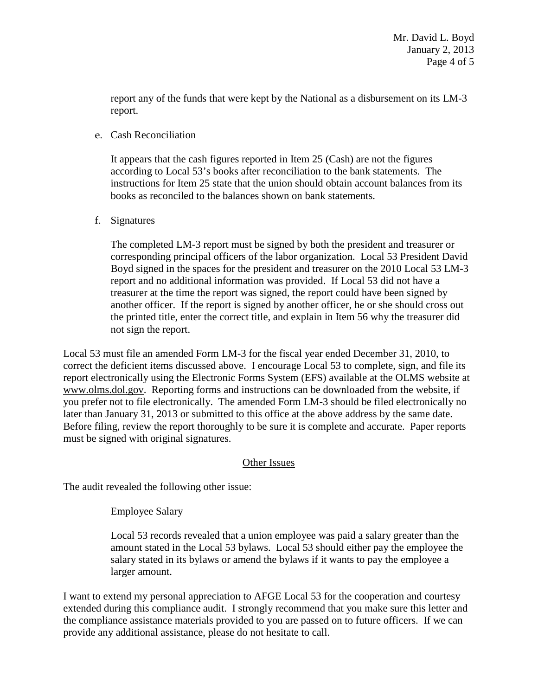report any of the funds that were kept by the National as a disbursement on its LM-3 report.

e. Cash Reconciliation

It appears that the cash figures reported in Item 25 (Cash) are not the figures according to Local 53's books after reconciliation to the bank statements. The instructions for Item 25 state that the union should obtain account balances from its books as reconciled to the balances shown on bank statements.

f. Signatures

The completed LM-3 report must be signed by both the president and treasurer or corresponding principal officers of the labor organization. Local 53 President David Boyd signed in the spaces for the president and treasurer on the 2010 Local 53 LM-3 report and no additional information was provided. If Local 53 did not have a treasurer at the time the report was signed, the report could have been signed by another officer. If the report is signed by another officer, he or she should cross out the printed title, enter the correct title, and explain in Item 56 why the treasurer did not sign the report.

Local 53 must file an amended Form LM-3 for the fiscal year ended December 31, 2010, to correct the deficient items discussed above. I encourage Local 53 to complete, sign, and file its report electronically using the Electronic Forms System (EFS) available at the OLMS website at [www.olms.dol.gov.](http://www.olms.dol.gov/) Reporting forms and instructions can be downloaded from the website, if you prefer not to file electronically. The amended Form LM-3 should be filed electronically no later than January 31, 2013 or submitted to this office at the above address by the same date. Before filing, review the report thoroughly to be sure it is complete and accurate. Paper reports must be signed with original signatures.

## Other Issues

The audit revealed the following other issue:

Employee Salary

Local 53 records revealed that a union employee was paid a salary greater than the amount stated in the Local 53 bylaws. Local 53 should either pay the employee the salary stated in its bylaws or amend the bylaws if it wants to pay the employee a larger amount.

I want to extend my personal appreciation to AFGE Local 53 for the cooperation and courtesy extended during this compliance audit. I strongly recommend that you make sure this letter and the compliance assistance materials provided to you are passed on to future officers. If we can provide any additional assistance, please do not hesitate to call.